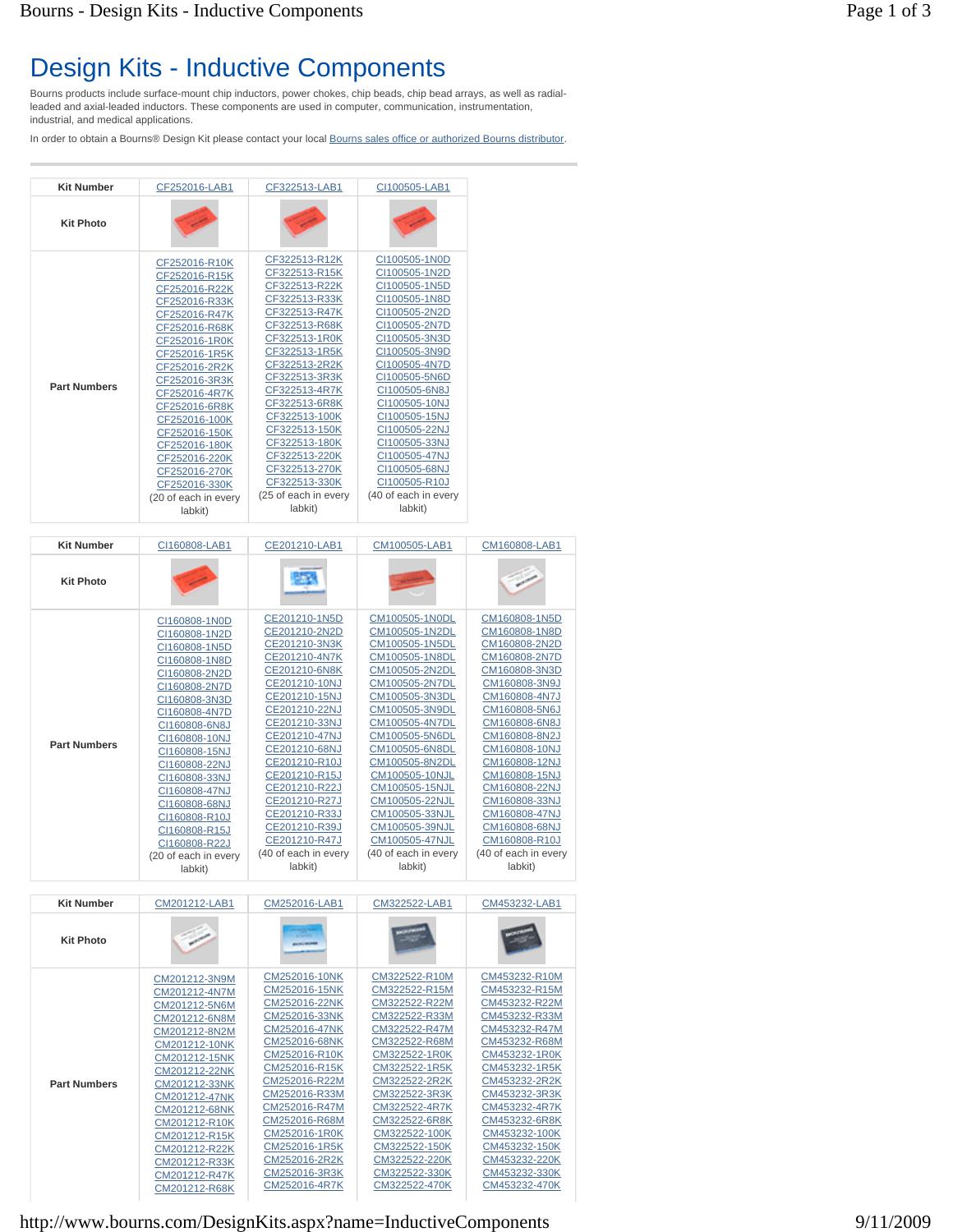## Design Kits - Inductive Components

Bourns products include surface-mount chip inductors, power chokes, chip beads, chip bead arrays, as well as radialleaded and axial-leaded inductors. These components are used in computer, communication, instrumentation, industrial, and medical applications.

In order to obtain a Bourns® Design Kit please contact your local Bourns sales office or authorized Bourns distributor.

| <b>Kit Number</b>   | CF252016-LAB1                  | CF322513-LAB1                  | CI100505-LAB1                  |
|---------------------|--------------------------------|--------------------------------|--------------------------------|
| <b>Kit Photo</b>    |                                |                                |                                |
|                     | CF252016-R10K<br>CF252016-R15K | CF322513-R12K<br>CF322513-R15K | CI100505-1N0D<br>CI100505-1N2D |
|                     | CF252016-R22K                  | CF322513-R22K                  | CI100505-1N5D                  |
|                     | CF252016-R33K                  | CF322513-R33K                  | CI100505-1N8D                  |
|                     | CF252016-R47K                  | CF322513-R47K                  | CI100505-2N2D                  |
|                     | CF252016-R68K                  | CF322513-R68K                  | CI100505-2N7D                  |
|                     | CF252016-1R0K                  | CF322513-1R0K                  | CI100505-3N3D                  |
|                     | CF252016-1R5K                  | CF322513-1R5K                  | CI100505-3N9D                  |
|                     | CF252016-2R2K                  | CF322513-2R2K                  | CI100505-4N7D                  |
| <b>Part Numbers</b> | CF252016-3R3K                  | CF322513-3R3K                  | CI100505-5N6D                  |
|                     | CF252016-4R7K                  | CF322513-4R7K                  | CI100505-6N8J                  |
|                     | CF252016-6R8K                  | CF322513-6R8K                  | CI100505-10NJ                  |
|                     | CF252016-100K                  | CF322513-100K                  | CI100505-15NJ                  |
|                     | CF252016-150K                  | CF322513-150K                  | CI100505-22NJ                  |
|                     | CF252016-180K                  | CF322513-180K                  | CI100505-33NJ                  |
|                     | CF252016-220K                  | CF322513-220K                  | CI100505-47NJ                  |
|                     | CF252016-270K                  | CF322513-270K                  | CI100505-68NJ                  |
|                     | CF252016-330K                  | CF322513-330K                  | CI100505-R10J                  |
|                     | (20 of each in every           | (25 of each in every           | (40 of each in every           |
|                     | labkit)                        | labkit)                        | labkit)                        |

| <b>Kit Number</b>   | CI160808-LAB1                         | CE201210-LAB1                  | CM100505-LAB1                    | CM160808-LAB1                  |
|---------------------|---------------------------------------|--------------------------------|----------------------------------|--------------------------------|
|                     |                                       |                                |                                  |                                |
| <b>Kit Photo</b>    |                                       | - 36                           |                                  |                                |
|                     |                                       |                                |                                  |                                |
|                     | CI160808-1N0D                         | CE201210-1N5D                  | CM100505-1N0DL                   | CM160808-1N5D                  |
|                     | CI160808-1N2D                         | CE201210-2N2D                  | CM100505-1N2DL                   | CM160808-1N8D                  |
|                     | CI160808-1N5D                         | CE201210-3N3K                  | CM100505-1N5DL                   | CM160808-2N2D                  |
|                     | CI160808-1N8D                         | CE201210-4N7K                  | CM100505-1N8DL                   | CM160808-2N7D                  |
|                     | CI160808-2N2D                         | CE201210-6N8K                  | CM100505-2N2DL                   | CM160808-3N3D                  |
|                     | CI160808-2N7D                         | CE201210-10NJ                  | CM100505-2N7DL                   | CM160808-3N9J                  |
|                     | CI160808-3N3D                         | CE201210-15NJ                  | CM100505-3N3DL                   | CM160808-4N7J                  |
|                     | CI160808-4N7D                         | CE201210-22NJ                  | CM100505-3N9DL                   | CM160808-5N6J                  |
|                     | CI160808-6N8J                         | CE201210-33NJ                  | CM100505-4N7DL                   | CM160808-6N8J                  |
| <b>Part Numbers</b> | CI160808-10NJ                         | CE201210-47NJ                  | CM100505-5N6DL                   | CM160808-8N2J                  |
|                     | CI160808-15NJ                         | CE201210-68NJ                  | CM100505-6N8DL                   | CM160808-10NJ                  |
|                     | CI160808-22NJ                         | CE201210-R10J                  | CM100505-8N2DL                   | CM160808-12NJ                  |
|                     | CI160808-33NJ                         | CE201210-R15J                  | CM100505-10NJL                   | CM160808-15NJ                  |
|                     | CI160808-47NJ                         | CE201210-R22J                  | CM100505-15NJL<br>CM100505-22NJL | CM160808-22NJ<br>CM160808-33NJ |
|                     | CI160808-68NJ                         | CE201210-R27J<br>CE201210-R33J | CM100505-33NJL                   | CM160808-47NJ                  |
|                     | CI160808-R10J                         | CE201210-R39J                  | CM100505-39NJL                   | CM160808-68NJ                  |
|                     | CI160808-R15J                         | CE201210-R47J                  | CM100505-47NJL                   | CM160808-R10J                  |
|                     | CI160808-R22J<br>(20 of each in every | (40 of each in every           | (40 of each in every             | (40 of each in every           |
|                     | labkit)                               | labkit)                        | labkit)                          | labkit)                        |
|                     |                                       |                                |                                  |                                |
| <b>Kit Number</b>   | CM201212-LAB1                         | CM252016-LAB1                  | CM322522-LAB1                    | CM453232-LAB1                  |
|                     |                                       |                                |                                  |                                |
| <b>Kit Photo</b>    |                                       |                                |                                  |                                |
|                     |                                       |                                |                                  |                                |
|                     |                                       | CM252016-10NK                  | CM322522-R10M                    | CM453232-R10M                  |
|                     | CM201212-3N9M                         | CM252016-15NK                  | CM322522-R15M                    | CM453232-R15M                  |
|                     | CM201212-4N7M                         | CM252016-22NK                  | CM322522-R22M                    | CM453232-R22M                  |
|                     | CM201212-5N6M<br>CM201212-6N8M        | CM252016-33NK                  | CM322522-R33M                    | CM453232-R33M                  |
|                     | CM201212-8N2M                         | CM252016-47NK                  | CM322522-R47M                    | CM453232-R47M                  |
|                     | CM201212-10NK                         | CM252016-68NK                  | CM322522-R68M                    | CM453232-R68M                  |
|                     | CM201212-15NK                         | CM252016-R10K                  | CM322522-1R0K                    | CM453232-1R0K                  |
|                     | CM201212-22NK                         | CM252016-R15K                  | CM322522-1R5K                    | CM453232-1R5K                  |
| <b>Part Numbers</b> | CM201212-33NK                         | CM252016-R22M                  | CM322522-2R2K                    | CM453232-2R2K                  |
|                     | CM201212-47NK                         | CM252016-R33M                  | CM322522-3R3K                    | CM453232-3R3K                  |
|                     | CM201212-68NK                         | CM252016-R47M                  | CM322522-4R7K                    | CM453232-4R7K                  |
|                     | CM201212-R10K                         | CM252016-R68M                  | CM322522-6R8K                    | CM453232-6R8K                  |
|                     | CM201212-R15K                         | CM252016-1R0K                  | CM322522-100K                    | CM453232-100K                  |
|                     | CM201212-R22K                         | CM252016-1R5K                  | CM322522-150K                    | CM453232-150K                  |
|                     | CM201212-R33K                         | CM252016-2R2K                  | CM322522-220K                    | CM453232-220K                  |
|                     |                                       |                                |                                  |                                |
|                     | CM201212-R47K<br>CM201212-R68K        | CM252016-3R3K<br>CM252016-4R7K | CM322522-330K<br>CM322522-470K   | CM453232-330K<br>CM453232-470K |

http://www.bourns.com/DesignKits.aspx?name=InductiveComponents 9/11/2009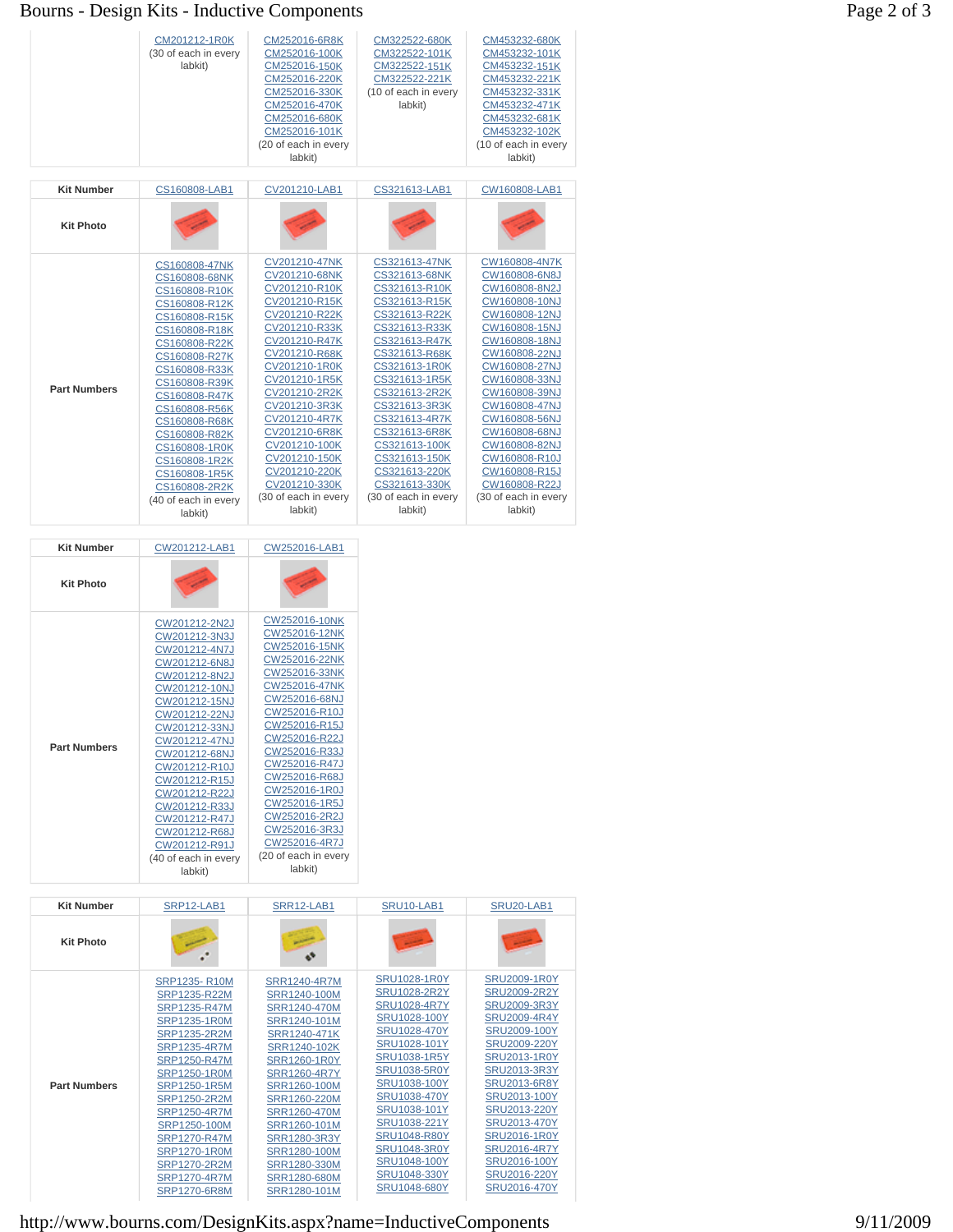## Bourns - Design Kits - Inductive Components Page 2 of 3

|                     | CM201212-1R0K<br>(30 of each in every<br>labkit)                                                                                                                                                                                                                                                                                                  | CM252016-6R8K<br>CM252016-100K<br>CM252016-150K<br>CM252016-220K<br>CM252016-330K<br>CM252016-470K<br>CM252016-680K<br>CM252016-101K<br>(20 of each in every<br>labkit)                                                                                                                                                                           | CM322522-680K<br>CM322522-101K<br>CM322522-151K<br>CM322522-221K<br>(10 of each in every<br>labkit)                                                                                                                                                                                                                                               | CM453232-680K<br>CM453232-101K<br>CM453232-151K<br>CM453232-221K<br>CM453232-331K<br>CM453232-471K<br>CM453232-681K<br>CM453232-102K<br>(10 of each in every<br>labkit)                                                                                                                                                                           |
|---------------------|---------------------------------------------------------------------------------------------------------------------------------------------------------------------------------------------------------------------------------------------------------------------------------------------------------------------------------------------------|---------------------------------------------------------------------------------------------------------------------------------------------------------------------------------------------------------------------------------------------------------------------------------------------------------------------------------------------------|---------------------------------------------------------------------------------------------------------------------------------------------------------------------------------------------------------------------------------------------------------------------------------------------------------------------------------------------------|---------------------------------------------------------------------------------------------------------------------------------------------------------------------------------------------------------------------------------------------------------------------------------------------------------------------------------------------------|
| <b>Kit Number</b>   | CS160808-LAB1                                                                                                                                                                                                                                                                                                                                     | CV201210-LAB1                                                                                                                                                                                                                                                                                                                                     | CS321613-LAB1                                                                                                                                                                                                                                                                                                                                     | CW160808-LAB1                                                                                                                                                                                                                                                                                                                                     |
| <b>Kit Photo</b>    |                                                                                                                                                                                                                                                                                                                                                   |                                                                                                                                                                                                                                                                                                                                                   |                                                                                                                                                                                                                                                                                                                                                   |                                                                                                                                                                                                                                                                                                                                                   |
| <b>Part Numbers</b> | CS160808-47NK<br>CS160808-68NK<br>CS160808-R10K<br>CS160808-R12K<br>CS160808-R15K<br>CS160808-R18K<br>CS160808-R22K<br>CS160808-R27K<br>CS160808-R33K<br>CS160808-R39K<br>CS160808-R47K<br>CS160808-R56K<br>CS160808-R68K<br>CS160808-R82K<br>CS160808-1R0K<br>CS160808-1R2K<br>CS160808-1R5K<br>CS160808-2R2K<br>(40 of each in every<br>labkit) | CV201210-47NK<br>CV201210-68NK<br>CV201210-R10K<br>CV201210-R15K<br>CV201210-R22K<br>CV201210-R33K<br>CV201210-R47K<br>CV201210-R68K<br>CV201210-1R0K<br>CV201210-1R5K<br>CV201210-2R2K<br>CV201210-3R3K<br>CV201210-4R7K<br>CV201210-6R8K<br>CV201210-100K<br>CV201210-150K<br>CV201210-220K<br>CV201210-330K<br>(30 of each in every<br>labkit) | CS321613-47NK<br>CS321613-68NK<br>CS321613-R10K<br>CS321613-R15K<br>CS321613-R22K<br>CS321613-R33K<br>CS321613-R47K<br>CS321613-R68K<br>CS321613-1R0K<br>CS321613-1R5K<br>CS321613-2R2K<br>CS321613-3R3K<br>CS321613-4R7K<br>CS321613-6R8K<br>CS321613-100K<br>CS321613-150K<br>CS321613-220K<br>CS321613-330K<br>(30 of each in every<br>labkit) | CW160808-4N7K<br>CW160808-6N8J<br>CW160808-8N2J<br>CW160808-10NJ<br>CW160808-12NJ<br>CW160808-15NJ<br>CW160808-18NJ<br>CW160808-22NJ<br>CW160808-27NJ<br>CW160808-33NJ<br>CW160808-39NJ<br>CW160808-47NJ<br>CW160808-56NJ<br>CW160808-68NJ<br>CW160808-82NJ<br>CW160808-R10J<br>CW160808-R15J<br>CW160808-R22J<br>(30 of each in every<br>labkit) |

| <b>Kit Number</b>   | CW201212-LAB1                                                                                                                                                                                                                                                                                                                                     | CW252016-LAB1                                                                                                                                                                                                                                                                                                                                     |  |
|---------------------|---------------------------------------------------------------------------------------------------------------------------------------------------------------------------------------------------------------------------------------------------------------------------------------------------------------------------------------------------|---------------------------------------------------------------------------------------------------------------------------------------------------------------------------------------------------------------------------------------------------------------------------------------------------------------------------------------------------|--|
| <b>Kit Photo</b>    |                                                                                                                                                                                                                                                                                                                                                   |                                                                                                                                                                                                                                                                                                                                                   |  |
| <b>Part Numbers</b> | CW201212-2N2J<br>CW201212-3N3J<br>CW201212-4N7J<br>CW201212-6N8J<br>CW201212-8N2J<br>CW201212-10NJ<br>CW201212-15NJ<br>CW201212-22NJ<br>CW201212-33NJ<br>CW201212-47NJ<br>CW201212-68NJ<br>CW201212-R10J<br>CW201212-R15J<br>CW201212-R22J<br>CW201212-R33J<br>CW201212-R47J<br>CW201212-R68J<br>CW201212-R91J<br>(40 of each in every<br>labkit) | CW252016-10NK<br>CW252016-12NK<br>CW252016-15NK<br>CW252016-22NK<br>CW252016-33NK<br>CW252016-47NK<br>CW252016-68NJ<br>CW252016-R10J<br>CW252016-R15J<br>CW252016-R22J<br>CW252016-R33J<br>CW252016-R47J<br>CW252016-R68J<br>CW252016-1R0J<br>CW252016-1R5J<br>CW252016-2R2J<br>CW252016-3R3J<br>CW252016-4R7J<br>(20 of each in every<br>labkit) |  |

| <b>Kit Photo</b>    |                                                                                                                                                                                                                                                                                                                                                           |                                                                                                                                                                                                                                                                                     |                                                                                                                                                                                                                                                                                                                        |                                                                                                                                                                                                                                                                                                                                      |
|---------------------|-----------------------------------------------------------------------------------------------------------------------------------------------------------------------------------------------------------------------------------------------------------------------------------------------------------------------------------------------------------|-------------------------------------------------------------------------------------------------------------------------------------------------------------------------------------------------------------------------------------------------------------------------------------|------------------------------------------------------------------------------------------------------------------------------------------------------------------------------------------------------------------------------------------------------------------------------------------------------------------------|--------------------------------------------------------------------------------------------------------------------------------------------------------------------------------------------------------------------------------------------------------------------------------------------------------------------------------------|
| <b>Part Numbers</b> | <b>SRP1235-R10M</b><br>SRP1235-R22M<br>SRP1235-R47M<br><b>SRP1235-1R0M</b><br>SRP1235-2R2M<br><b>SRP1235-4R7M</b><br><b>SRP1250-R47M</b><br><b>SRP1250-1R0M</b><br>SRP1250-1R5M<br>SRP1250-2R2M<br><b>SRP1250-4R7M</b><br>SRP1250-100M<br><b>SRP1270-R47M</b><br><b>SRP1270-1R0M</b><br><b>SRP1270-2R2M</b><br><b>SRP1270-4R7M</b><br><b>SRP1270-6R8M</b> | <b>SRR1240-4R7M</b><br>SRR1240-100M<br>SRR1240-470M<br>SRR1240-101M<br>SRR1240-471K<br>SRR1240-102K<br>SRR1260-1R0Y<br>SRR1260-4R7Y<br>SRR1260-100M<br>SRR1260-220M<br>SRR1260-470M<br>SRR1260-101M<br>SRR1280-3R3Y<br>SRR1280-100M<br>SRR1280-330M<br>SRR1280-680M<br>SRR1280-101M | <b>SRU1028-1R0Y</b><br>SRU1028-2R2Y<br><b>SRU1028-4R7Y</b><br>SRU1028-100Y<br>SRU1028-470Y<br>SRU1028-101Y<br><b>SRU1038-1R5Y</b><br><b>SRU1038-5R0Y</b><br>SRU1038-100Y<br>SRU1038-470Y<br>SRU1038-101Y<br>SRU1038-221Y<br><b>SRU1048-R80Y</b><br><b>SRU1048-3R0Y</b><br>SRU1048-100Y<br>SRU1048-330Y<br>SRU1048-680Y | <b>SRU2009-1R0Y</b><br><b>SRU2009-2R2Y</b><br>SRU2009-3R3Y<br><b>SRU2009-4R4Y</b><br>SRU2009-100Y<br>SRU2009-220Y<br><b>SRU2013-1R0Y</b><br>SRU2013-3R3Y<br><b>SRU2013-6R8Y</b><br>SRU2013-100Y<br>SRU2013-220Y<br>SRU2013-470Y<br><b>SRU2016-1R0Y</b><br><b>SRU2016-4R7Y</b><br>SRU2016-100Y<br>SRU2016-220Y<br><b>SRU2016-470Y</b> |

http://www.bourns.com/DesignKits.aspx?name=InductiveComponents 9/11/2009